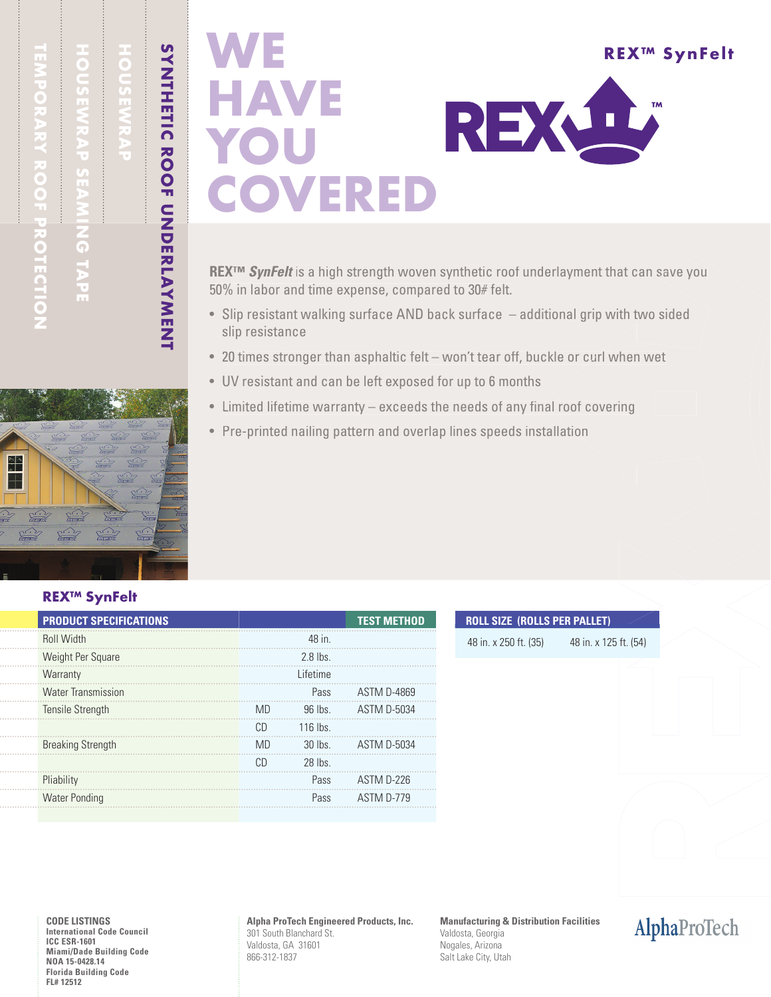HOUSEWRAP SEAMING TAPE

# HOUSEWRAP

SYNTHETIC ROOF UNDERLAYMENT

# **WE** REX™ SynFelt HAVE REXLI YOU VERED

**REX™ SynFelt** is a high strength woven synthetic roof underlayment that can save you 50% in labor and time expense, compared to 30# felt.

- Slip resistant walking surface AND back surface additional grip with two sided sided slip resistance
- $\bullet~$  20 times stronger than asphaltic felt won't tear off, buckle or curl when wet
- UV resistant and can be left exposed for up to 6 months
- Limited lifetime warranty exceeds the needs of any final roof covering
- Pre-printed nailing pattern and overlap lines speeds installation

### REX™ SynFelt

 $\approx$ 

 $\sum_{i=1}^{n}$  $\frac{\sqrt{1-\frac{1}{2}}}{\sqrt{1-\frac{1}{2}}}$ 

| <b>PRODUCT SPECIFICATIONS</b> |           |           | <b>TEST METHOD</b> |
|-------------------------------|-----------|-----------|--------------------|
| <b>Roll Width</b>             |           | 48 in.    |                    |
| Weight Per Square             |           | 2.8 lbs   |                    |
| Warranty                      |           | Lifetime  |                    |
| <b>Water Transmission</b>     |           | Pass      | <b>ASTM D-4869</b> |
| Tensile Strength              | <b>MD</b> | $96$ lbs  | <b>ASTM D-5034</b> |
|                               | CD.       | $116$ lbs |                    |
| <b>Breaking Strength</b>      | <b>MD</b> | $30$ lbs  | <b>ASTM D-5034</b> |
|                               | CD        | 28 lbs    |                    |
| Pliability                    |           | Pass      | ASTM D-226         |
| <b>Water Ponding</b>          |           | Pass      | ASTM D-779         |
|                               |           |           |                    |

### **ROLL SIZE (ROLLS PER PALLET)**

48 in. x 250 ft. (35) 48 in. x 125 ft. (54)

**CODE LISTINGS International Code Council ICC ESR-1601 Miami/Dade Building Code NOA 15-0428.14 Florida Building Code FL# 12512**

**Alpha ProTech Engineered Products, Inc.** 301 South Blanchard St. Valdosta, GA 31601 866-312-1837

**Manufacturing & Distribution Facilities** Valdosta, Georgia Nogales, Arizona Salt Lake City, Utah

AlphaProTech